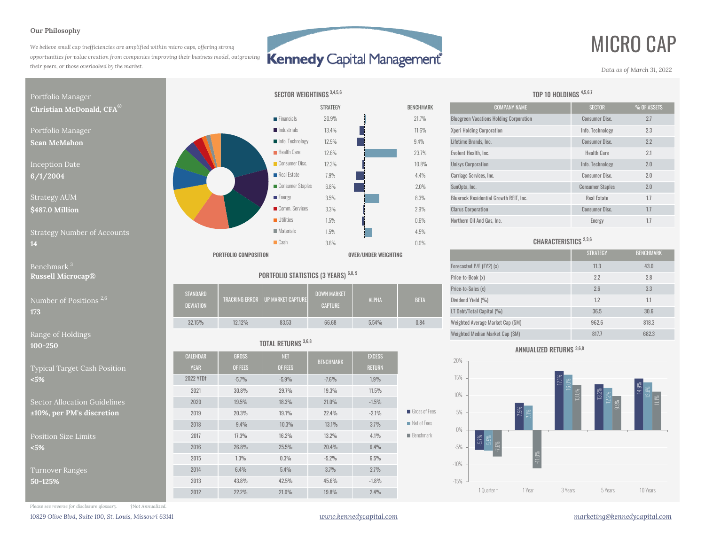### **Our Philosophy**

*We believe small cap inefficiencies are amplified within micro caps, offering strong opportunities for value creation from companies improving their business model, outgrowing their peers, or those overlooked by the market.*

## **Kennedy Capital Management**

 $0.0%$ 

# MICRO CAP

*Data as of March 31, 2022*



**100-250**

Typical Target Cash Position **<5%**

Sector Allocation Guidelines $±10\%$ , per PM's discretion

Position Size Limits**<5%**

Turnover Ranges **50-125%**



SECTOR WEIGHTINGS<sup>3,4,5,6</sup>

|                                     |                                     |        |                                         |                                      |              |             | $\sim$                           |                   |          |
|-------------------------------------|-------------------------------------|--------|-----------------------------------------|--------------------------------------|--------------|-------------|----------------------------------|-------------------|----------|
| umber of Positions <sup>2,6</sup> . | <b>STANDARD</b><br><b>DEVIATION</b> |        | <b>TRACKING ERROR UP MARKET CAPTURE</b> | <b>DOWN MARKET</b><br><b>CAPTURE</b> | <b>ALPHA</b> | <b>BETA</b> | Price-to-Sales (x)               | 2.6               | 22       |
|                                     |                                     |        |                                         |                                      |              |             | Dividend Yield (%)               |                   |          |
|                                     |                                     |        |                                         |                                      |              |             | LT Debt/Total Capital (%)        | 36.5              | 30.6     |
|                                     | 32.15%                              | 12.12% | 83.53                                   | 66.68                                | 5.54%        | 0.84        | Weighted Average Market Cap (SM) | 962.6             | 818.3    |
|                                     |                                     |        |                                         |                                      |              |             |                                  | <b>CONTRACTOR</b> | $-0.001$ |

## TOTAL RETURNS 3,6,8

| $\mathbf{v}$ - $\mathbf{v}$ |                  |              |            |                  |               |                            |
|-----------------------------|------------------|--------------|------------|------------------|---------------|----------------------------|
|                             | <b>CALENDAR</b>  | <b>GROSS</b> | <b>NET</b> | <b>BENCHMARK</b> | <b>EXCESS</b> |                            |
| pical Target Cash Position  | <b>YEAR</b>      | OF FEES      | OF FEES    |                  | <b>RETURN</b> |                            |
| %                           | <b>2022 YTDt</b> | $-5.7%$      | $-5.9%$    | $-7.6%$          | 1.9%          |                            |
|                             | 2021             | 30.8%        | 29.7%      | 19.3%            | 11.5%         |                            |
| ctor Allocation Guidelines  | 2020             | 19.5%        | 18.3%      | $21.0\%$         | $-1.5%$       |                            |
| 0%, per PM's discretion     | 2019             | 20.3%        | 19.1%      | 22.4%            | $-2.1%$       | Gross of Fees              |
|                             | 2018             | $-9.4%$      | $-10.3%$   | $-13.1%$         | 3.7%          | $\blacksquare$ Net of Fees |
| sition Size Limits          | 2017             | 17.3%        | 16.2%      | 13.2%            | 4.1%          | <b>Benchmark</b>           |
| ℅                           | 2016             | 26.8%        | 25.5%      | 20.4%            | 6.4%          |                            |
|                             | 2015             | 1.3%         | 0.3%       | $-5.2%$          | 6.5%          |                            |
| rnover Ranges               | 2014             | 6.4%         | 5.4%       | 3.7%             | 2.7%          |                            |
| $-125%$                     | 2013             | 43.8%        | 42.5%      | 45.6%            | $-1.8%$       |                            |
|                             | 2012             | 22.2%        | 21.0%      | 19.8%            | 2.4%          |                            |
|                             |                  |              |            |                  |               |                            |

| TEGY          | <b>BENCHMARK</b> | <b>COMPANY NAME</b>                            | <b>SECTOR</b>           | % OF ASSETS |
|---------------|------------------|------------------------------------------------|-------------------------|-------------|
| $3\%$         | 21.7%            | <b>Bluegreen Vacations Holding Corporation</b> | <b>Consumer Disc.</b>   | 2.7         |
| $1\%$         | 11.6%            | <b>Xperi Holding Corporation</b>               | Info. Technology        | 2.3         |
| $\frac{1}{6}$ | 9.4%             | Lifetime Brands, Inc.                          | <b>Consumer Disc.</b>   | 2.2         |
| $3\%$         | 23.7%            | Evolent Health, Inc.                           | <b>Health Care</b>      | 2.1         |
| 3%            | 10.8%            | <b>Unisys Corporation</b>                      | Info. Technology        | 2.0         |
| $\frac{0}{0}$ | 4.4%             | Carriage Services, Inc.                        | <b>Consumer Disc.</b>   | 2.0         |
| $\%$          | 2.0%             | SunOpta, Inc.                                  | <b>Consumer Staples</b> | 2.0         |
| $\%$          | 8.3%             | <b>Bluerock Residential Growth REIT. Inc.</b>  | <b>Real Estate</b>      | 1.7         |
| $\frac{0}{0}$ | 2.9%             | <b>Clarus Corporation</b>                      | <b>Consumer Disc.</b>   | 1.7         |
| $\frac{0}{0}$ | 0.6%             | Northern Oil And Gas. Inc.                     | Energy                  | 1.7         |

TOP 10 HOLDINGS 4,5,6,7

## CHARACTERISTICS 2,3,6

|                                             |                                       | PORTFOLIO COMPOSITION |                                  |                               | OVER/UNDER WEIGHTING |             |                                  | <b>STRATEGY</b> | <b>BENCHMARK</b> |
|---------------------------------------------|---------------------------------------|-----------------------|----------------------------------|-------------------------------|----------------------|-------------|----------------------------------|-----------------|------------------|
| Benchmark $^3$                              | PORTFOLIO STATISTICS (3 YEARS) 6,8, 9 |                       |                                  |                               |                      |             | Forecasted P/E (FY2) (x)         | 11.3            | 43.0             |
| <b>Russell Microcap®</b>                    |                                       |                       |                                  |                               |                      |             | Price-to-Book (x)                | 2.2             | 2.8              |
| Number of Positions <sup>2,6</sup> .<br>173 | STANDARD<br><b>DEVIATION</b>          |                       | TRACKING ERROR UP MARKET CAPTURE | DOWN MARKET<br><b>CAPTURE</b> | <b>ALPHA</b>         | <b>BETA</b> | Price-to-Sales (x)               | 2.6             | 3.3              |
|                                             |                                       |                       |                                  |                               |                      |             | Dividend Yield (%)               | 1.2             | 1.1              |
|                                             |                                       |                       |                                  |                               |                      |             | LT Debt/Total Capital (%)        | 36.5            | 30.6             |
|                                             | 32.15%                                | 12.12%                | 83.53                            | 66.68                         | 5.54%                | 0.84        | Weighted Average Market Cap (SM) | 962.6           | 818.3            |
| Range of Holdings                           |                                       |                       |                                  |                               |                      |             | Weighted Median Market Cap (SM)  | 817.7           | 682.3            |





*Please see reverse for disclosure glossary. †Not Annualized.*